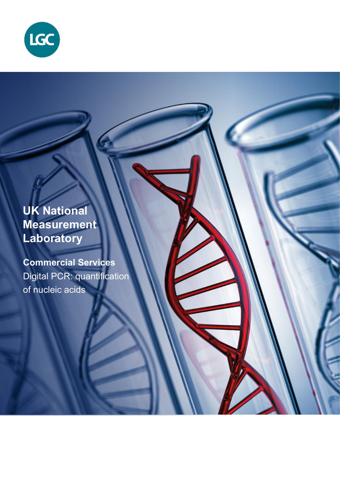

**UK National Measurement Laboratory**

**Commercial Services** Digital PCR: quantification of nucleic acids